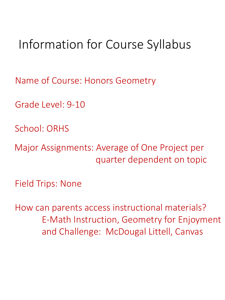# Information for Course Syllabus

Name of Course: Honors Geometry

Grade Level: 9-10

School: ORHS

Major Assignments: Average of One Project per quarter dependent on topic

Field Trips: None

How can parents access instructional materials? E-Math Instruction, Geometry for Enjoyment and Challenge: McDougal Littell, Canvas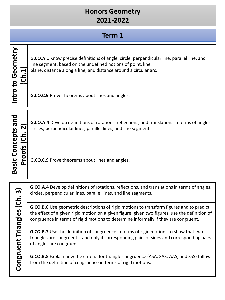|                                            | Term 1                                                                                                                                                                                                                                                                            |  |
|--------------------------------------------|-----------------------------------------------------------------------------------------------------------------------------------------------------------------------------------------------------------------------------------------------------------------------------------|--|
| Intro to Geometry<br>(Ch.1                 | <b>G.CO.A.1</b> Know precise definitions of angle, circle, perpendicular line, parallel line, and<br>line segment, based on the undefined notions of point, line,<br>plane, distance along a line, and distance around a circular arc.                                            |  |
|                                            | G.CO.C.9 Prove theorems about lines and angles.                                                                                                                                                                                                                                   |  |
| (Ch. 2)                                    | <b>G.CO.A.4</b> Develop definitions of rotations, reflections, and translations in terms of angles,<br>circles, perpendicular lines, parallel lines, and line segments.                                                                                                           |  |
| <b>Basic Concepts and</b><br><b>Proofs</b> | G.CO.C.9 Prove theorems about lines and angles.                                                                                                                                                                                                                                   |  |
| (Ch. 3)<br>Congruent Triangles             | G.CO.A.4 Develop definitions of rotations, reflections, and translations in terms of angles,<br>circles, perpendicular lines, parallel lines, and line segments.                                                                                                                  |  |
|                                            | G.CO.B.6 Use geometric descriptions of rigid motions to transform figures and to predict<br>the effect of a given rigid motion on a given figure; given two figures, use the definition of<br>congruence in terms of rigid motions to determine informally if they are congruent. |  |
|                                            | G.CO.B.7 Use the definition of congruence in terms of rigid motions to show that two<br>triangles are congruent if and only if corresponding pairs of sides and corresponding pairs<br>of angles are congruent.                                                                   |  |
|                                            | G.CO.B.8 Explain how the criteria for triangle congruence (ASA, SAS, AAS, and SSS) follow<br>from the definition of congruence in terms of rigid motions.                                                                                                                         |  |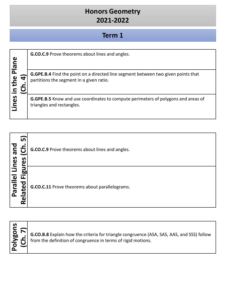#### **Term 1**

| Plane | <b>G.CO.C.9</b> Prove theorems about lines and angles.                                                                               |
|-------|--------------------------------------------------------------------------------------------------------------------------------------|
| the   | <b>G.GPE.B.4</b> Find the point on a directed line segment between two given points that<br>partitions the segment in a given ratio. |
| Lines | <b>G.GPE.B.5</b> Know and use coordinates to compute perimeters of polygons and areas of<br>triangles and rectangles.                |

| ัท<br>pue<br>Lines<br>n<br>α                                          | G.CO.C.9 Prove theorems about lines and angles. |
|-----------------------------------------------------------------------|-------------------------------------------------|
| ы<br>$\overline{\mathbf{e}}$<br>ட<br><b>Ieled</b><br>ω<br>c<br>ω<br>œ | G.CO.C.11 Prove theorems about parallelograms.  |

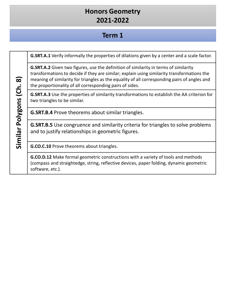## **Term 1**

**G.SRT.A.1** Verify informally the properties of dilations given by a center and a scale factor.

**G.SRT.A.2** Given two figures, use the definition of similarity in terms of similarity transformations to decide if they are similar; explain using similarity transformations the meaning of similarity for triangles as the equality of all corresponding pairs of angles and the proportionality of all corresponding pairs of sides.

**G.SRT.A.3** Use the properties of similarity transformations to establish the AA criterion for two triangles to be similar.

**G.SRT.B.4** Prove theorems about similar triangles.

**G.SRT.B.5** Use congruence and similarity criteria for triangles to solve problems and to justify relationships in geometric figures.

**G.CO.C.10** Prove theorems about triangles.

**G.CO.D.12** Make formal geometric constructions with a variety of tools and methods (compass and straightedge, string, reflective devices, paper folding, dynamic geometric software, etc.).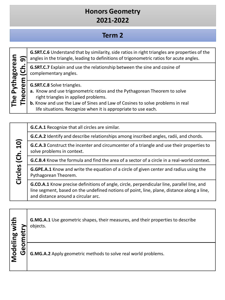## **Term 2**

| c<br>real                   | О   |  |
|-----------------------------|-----|--|
| <u>ក្ត</u>                  |     |  |
| ີ້ ເ<br>$\blacksquare$<br>ť | rem |  |
| ω                           | О   |  |
|                             | r   |  |

**Circles (Ch. 10)**

Circles (Ch. 10)

**G.SRT.C.6** Understand that by similarity, side ratios in right triangles are properties of the angles in the triangle, leading to definitions of trigonometric ratios for acute angles.

**G.SRT.C.7** Explain and use the relationship between the sine and cosine of complementary angles.

**G.SRT.C.8** Solve triangles.

- **a.** Know and use trigonometric ratios and the Pythagorean Theorem to solve right triangles in applied problems.
- **b.** Know and use the Law of Sines and Law of Cosines to solve problems in real life situations. Recognize when it is appropriate to use each.

**G.C.A.1** Recognize that all circles are similar.

**G.C.A.2** Identify and describe relationships among inscribed angles, radii, and chords.

**G.C.A.3** Construct the incenter and circumcenter of a triangle and use their properties to solve problems in context.

**G.C.B.4** Know the formula and find the area of a sector of a circle in a real-world context.

**G.GPE.A.1** Know and write the equation of a circle of given center and radius using the Pythagorean Theorem.

**G.CO.A.1** Know precise definitions of angle, circle, perpendicular line, parallel line, and line segment, based on the undefined notions of point, line, plane, distance along a line, and distance around a circular arc.

**Modeling with**  Modeling with **G.MG.A.1** Use geometric shapes, their measures, and their properties to describe **Geometry**  objects. Geometry **G.MG.A.2** Apply geometric methods to solve real world problems.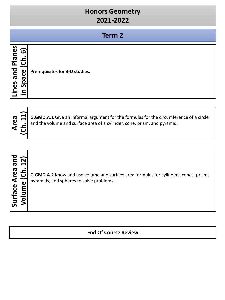#### **Term 2**

| ທ<br>Ö<br>⊆<br>$\bullet$ |
|--------------------------|
|--------------------------|

**Area G.GMD.A.1** Give an informal argument for the formulas for the circumference of a circle and the volume and surface area of a cylinder, cone, prism, and pyramid.

| $\bar{\mathbf{\sigma}}$<br>ea.<br>$\bar{\mathbf{z}}$<br>ω<br><b>Irface</b> | G.GMD.A.2 Know and use volume and surface area formulas for cylinders, cones, prisms,<br>pyramids, and spheres to solve problems. |
|----------------------------------------------------------------------------|-----------------------------------------------------------------------------------------------------------------------------------|
|----------------------------------------------------------------------------|-----------------------------------------------------------------------------------------------------------------------------------|

#### **End Of Course Review**